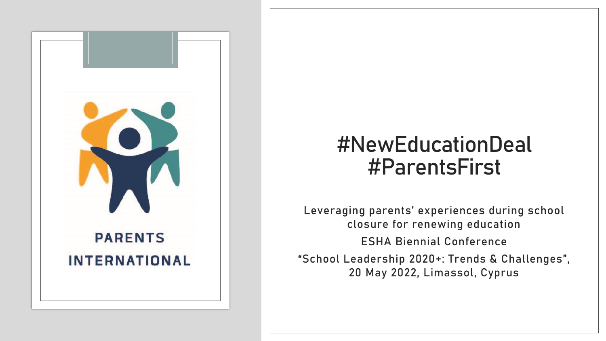

## **#NewEducationDeal #ParentsFirst**

**Leveraging parents' experiences during school closure for renewing education ESHA Biennial Conference "School Leadership 2020+: Trends & Challenges" , 20 May 2022, Limassol, Cyprus**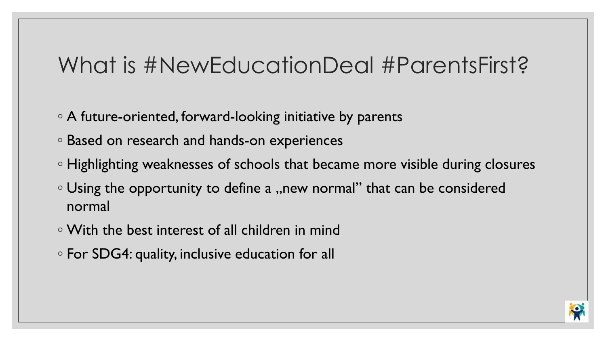# What is #NewEducationDeal #ParentsFirst?

- A future-oriented, forward-looking initiative by parents
- Based on research and hands-on experiences
- Highlighting weaknesses of schools that became more visible during closures
- Using the opportunity to define a "new normal" that can be considered normal
- With the best interest of all children in mind
- For SDG4: quality, inclusive education for all

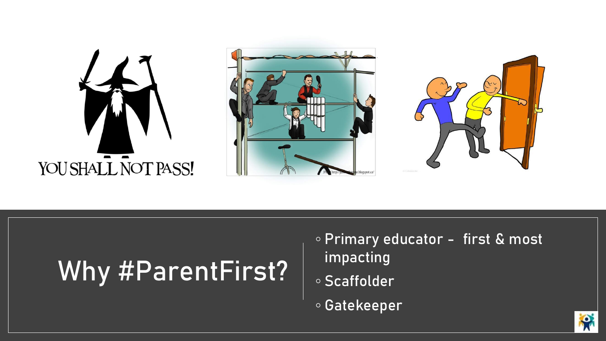

# Why #ParentFirst?

- Primary educator first & most impacting
- Scaffolder
- Gatekeeper

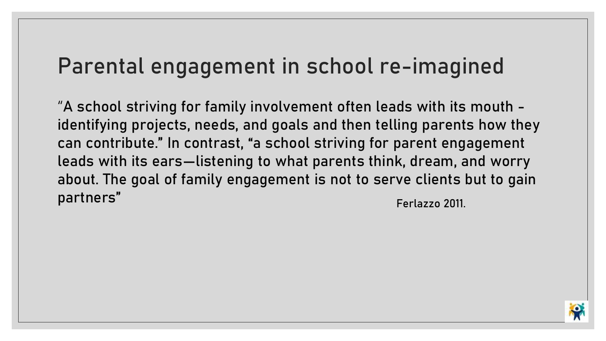## Parental engagement in school re-imagined

"A school striving for family involvement often leads with its mouth identifying projects, needs, and goals and then telling parents how they can contribute." In contrast, "a school striving for parent engagement leads with its ears—listening to what parents think, dream, and worry about. The goal of family engagement is not to serve clients but to gain partners" and the contract of the contract of the contract of the contract of the contract of the contract of the contract of the contract of the contract of the contract of the contract of the contract of the contract of

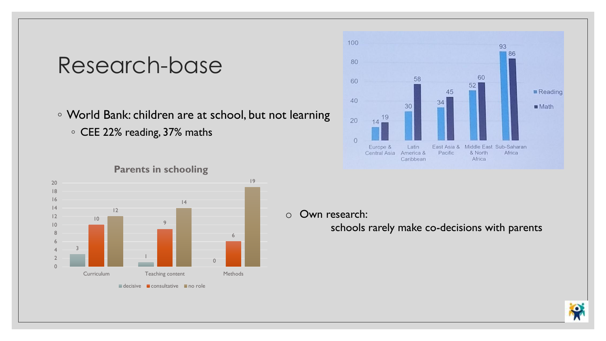#### Research-base

- World Bank: children are at school, but not learning
	- CEE 22% reading, 37% maths



#### **Parents in schooling**

 $\blacksquare$  decisive  $\blacksquare$  consultative  $\blacksquare$  no role



#### o Own research:

schools rarely make co-decisions with parents

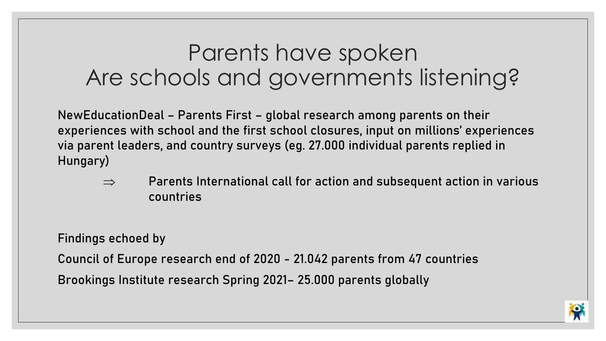# Parents have spoken Are schools and governments listening?

NewEducationDeal – Parents First – global research among parents on their experiences with school and the first school closures, input on millions' experiences via parent leaders, and country surveys (eg. 27.000 individual parents replied in Hungary)

 $\Rightarrow$  Parents International call for action and subsequent action in various countries

Findings echoed by

Council of Europe research end of 2020 - 21.042 parents from 47 countries Brookings Institute research Spring 2021– 25.000 parents globally

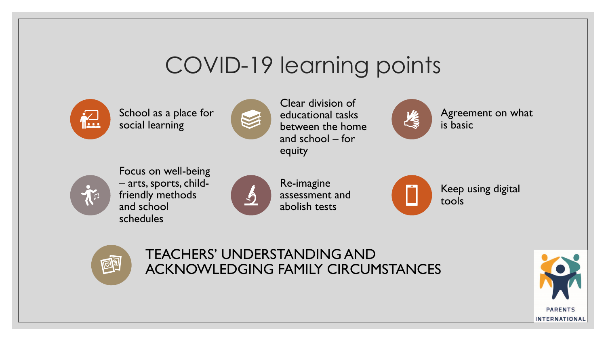# COVID-19 learning points



School as a place for social learning



Clear division of educational tasks between the home and school – for equity



Agreement on what is basic



Focus on well-being – arts, sports, childfriendly methods and school schedules



Re-imagine assessment and abolish tests





TEACHERS' UNDERSTANDING AND ACKNOWLEDGING FAMILY CIRCUMSTANCES

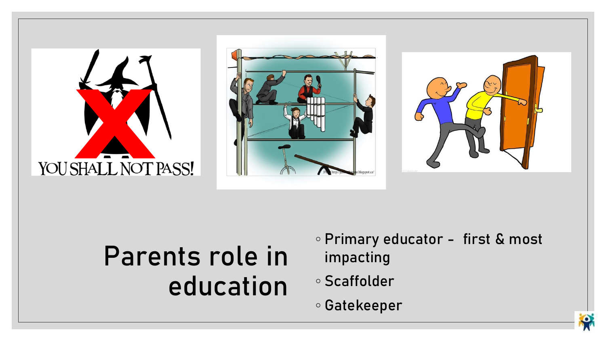





# Parents role in education

- Primary educator first & most impacting
- Scaffolder
- Gatekeeper

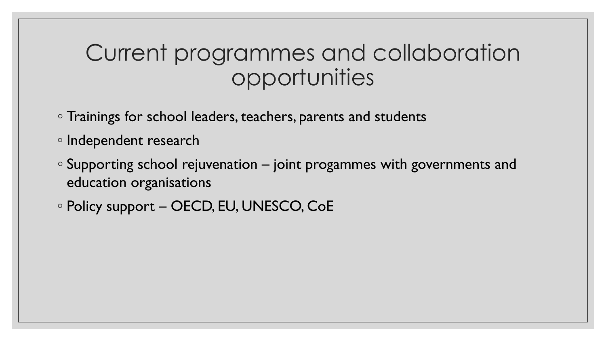## Current programmes and collaboration opportunities

- Trainings for school leaders, teachers, parents and students
- Independent research
- Supporting school rejuvenation joint progammes with governments and education organisations
- Policy support OECD, EU, UNESCO, CoE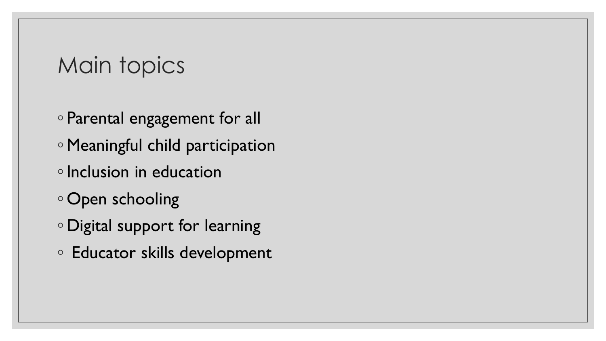## Main topics

- Parental engagement for all
- Meaningful child participation
- ◦Inclusion in education
- Open schooling
- Digital support for learning
- Educator skills development